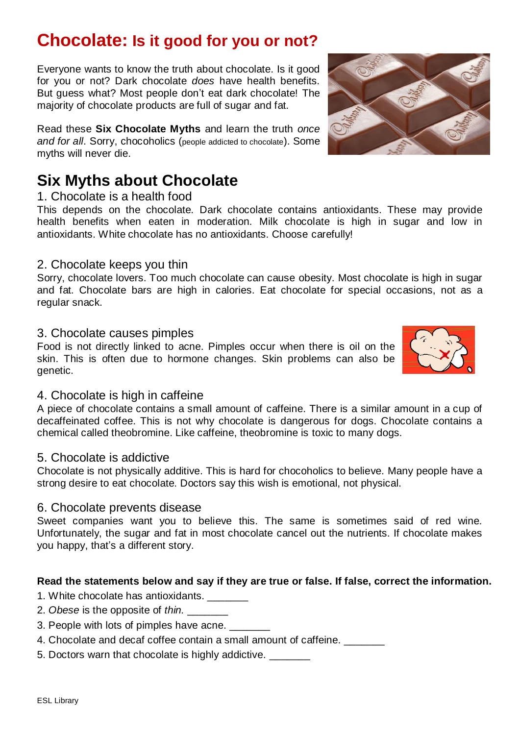## **Chocolate: Is it good for you or not?**

Everyone wants to know the truth about chocolate. Is it good for you or not? Dark chocolate *does* have health benefits. But guess what? Most people don't eat dark chocolate! The majority of chocolate products are full of sugar and fat.

Read these **Six Chocolate Myths** and learn the truth *once and for all*. Sorry, chocoholics (people addicted to chocolate). Some myths will never die.

# **Six Myths about Chocolate**

#### 1. Chocolate is a health food

This depends on the chocolate. Dark chocolate contains antioxidants. These may provide health benefits when eaten in moderation. Milk chocolate is high in sugar and low in antioxidants. White chocolate has no antioxidants. Choose carefully!

### 2. Chocolate keeps you thin

Sorry, chocolate lovers. Too much chocolate can cause obesity. Most chocolate is high in sugar and fat. Chocolate bars are high in calories. Eat chocolate for special occasions, not as a regular snack.

#### 3. Chocolate causes pimples

Food is not directly linked to acne. Pimples occur when there is oil on the skin. This is often due to hormone changes. Skin problems can also be genetic.

#### 4. Chocolate is high in caffeine

A piece of chocolate contains a small amount of caffeine. There is a similar amount in a cup of decaffeinated coffee. This is not why chocolate is dangerous for dogs. Chocolate contains a chemical called theobromine. Like caffeine, theobromine is toxic to many dogs.

#### 5. Chocolate is addictive

Chocolate is not physically additive. This is hard for chocoholics to believe. Many people have a strong desire to eat chocolate. Doctors say this wish is emotional, not physical.

#### 6. Chocolate prevents disease

Sweet companies want you to believe this. The same is sometimes said of red wine. Unfortunately, the sugar and fat in most chocolate cancel out the nutrients. If chocolate makes you happy, that's a different story.

#### **Read the statements below and say if they are true or false. If false, correct the information.**

- 1. White chocolate has antioxidants. \_\_\_\_\_\_\_
- 2. *Obese* is the opposite of *thin.* \_\_\_\_\_\_\_
- 3. People with lots of pimples have acne.
- 4. Chocolate and decaf coffee contain a small amount of caffeine.
- 5. Doctors warn that chocolate is highly addictive.